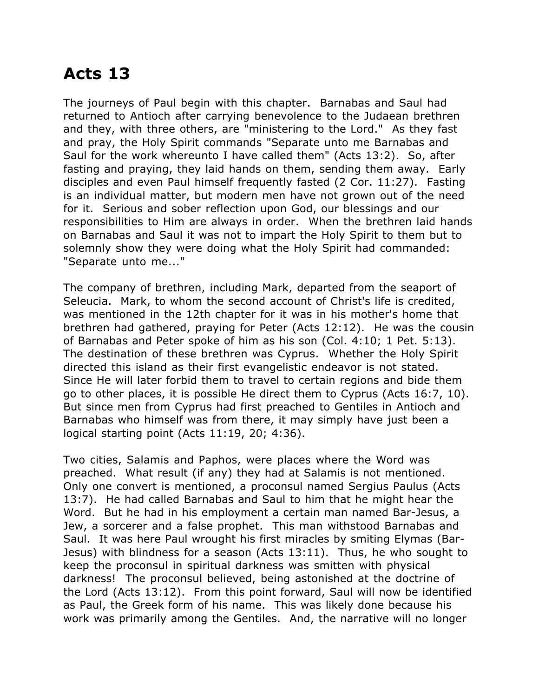## **Acts 13**

The journeys of Paul begin with this chapter. Barnabas and Saul had returned to Antioch after carrying benevolence to the Judaean brethren and they, with three others, are "ministering to the Lord." As they fast and pray, the Holy Spirit commands "Separate unto me Barnabas and Saul for the work whereunto I have called them" (Acts 13:2). So, after fasting and praying, they laid hands on them, sending them away. Early disciples and even Paul himself frequently fasted (2 Cor. 11:27). Fasting is an individual matter, but modern men have not grown out of the need for it. Serious and sober reflection upon God, our blessings and our responsibilities to Him are always in order. When the brethren laid hands on Barnabas and Saul it was not to impart the Holy Spirit to them but to solemnly show they were doing what the Holy Spirit had commanded: "Separate unto me..."

The company of brethren, including Mark, departed from the seaport of Seleucia. Mark, to whom the second account of Christ's life is credited, was mentioned in the 12th chapter for it was in his mother's home that brethren had gathered, praying for Peter (Acts 12:12). He was the cousin of Barnabas and Peter spoke of him as his son (Col. 4:10; 1 Pet. 5:13). The destination of these brethren was Cyprus. Whether the Holy Spirit directed this island as their first evangelistic endeavor is not stated. Since He will later forbid them to travel to certain regions and bide them go to other places, it is possible He direct them to Cyprus (Acts 16:7, 10). But since men from Cyprus had first preached to Gentiles in Antioch and Barnabas who himself was from there, it may simply have just been a logical starting point (Acts 11:19, 20; 4:36).

Two cities, Salamis and Paphos, were places where the Word was preached. What result (if any) they had at Salamis is not mentioned. Only one convert is mentioned, a proconsul named Sergius Paulus (Acts 13:7). He had called Barnabas and Saul to him that he might hear the Word. But he had in his employment a certain man named Bar-Jesus, a Jew, a sorcerer and a false prophet. This man withstood Barnabas and Saul. It was here Paul wrought his first miracles by smiting Elymas (Bar-Jesus) with blindness for a season (Acts 13:11). Thus, he who sought to keep the proconsul in spiritual darkness was smitten with physical darkness! The proconsul believed, being astonished at the doctrine of the Lord (Acts 13:12). From this point forward, Saul will now be identified as Paul, the Greek form of his name. This was likely done because his work was primarily among the Gentiles. And, the narrative will no longer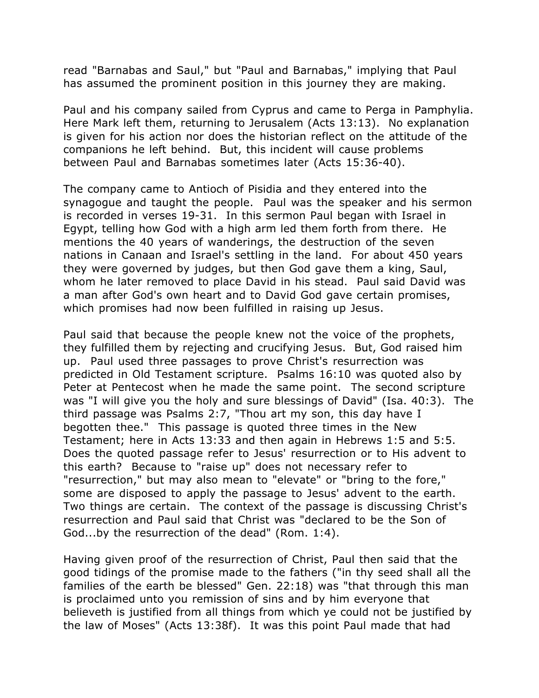read "Barnabas and Saul," but "Paul and Barnabas," implying that Paul has assumed the prominent position in this journey they are making.

Paul and his company sailed from Cyprus and came to Perga in Pamphylia. Here Mark left them, returning to Jerusalem (Acts 13:13). No explanation is given for his action nor does the historian reflect on the attitude of the companions he left behind. But, this incident will cause problems between Paul and Barnabas sometimes later (Acts 15:36-40).

The company came to Antioch of Pisidia and they entered into the synagogue and taught the people. Paul was the speaker and his sermon is recorded in verses 19-31. In this sermon Paul began with Israel in Egypt, telling how God with a high arm led them forth from there. He mentions the 40 years of wanderings, the destruction of the seven nations in Canaan and Israel's settling in the land. For about 450 years they were governed by judges, but then God gave them a king, Saul, whom he later removed to place David in his stead. Paul said David was a man after God's own heart and to David God gave certain promises, which promises had now been fulfilled in raising up Jesus.

Paul said that because the people knew not the voice of the prophets, they fulfilled them by rejecting and crucifying Jesus. But, God raised him up. Paul used three passages to prove Christ's resurrection was predicted in Old Testament scripture. Psalms 16:10 was quoted also by Peter at Pentecost when he made the same point. The second scripture was "I will give you the holy and sure blessings of David" (Isa. 40:3). The third passage was Psalms 2:7, "Thou art my son, this day have I begotten thee." This passage is quoted three times in the New Testament; here in Acts 13:33 and then again in Hebrews 1:5 and 5:5. Does the quoted passage refer to Jesus' resurrection or to His advent to this earth? Because to "raise up" does not necessary refer to "resurrection," but may also mean to "elevate" or "bring to the fore," some are disposed to apply the passage to Jesus' advent to the earth. Two things are certain. The context of the passage is discussing Christ's resurrection and Paul said that Christ was "declared to be the Son of God...by the resurrection of the dead" (Rom. 1:4).

Having given proof of the resurrection of Christ, Paul then said that the good tidings of the promise made to the fathers ("in thy seed shall all the families of the earth be blessed" Gen. 22:18) was "that through this man is proclaimed unto you remission of sins and by him everyone that believeth is justified from all things from which ye could not be justified by the law of Moses" (Acts 13:38f). It was this point Paul made that had